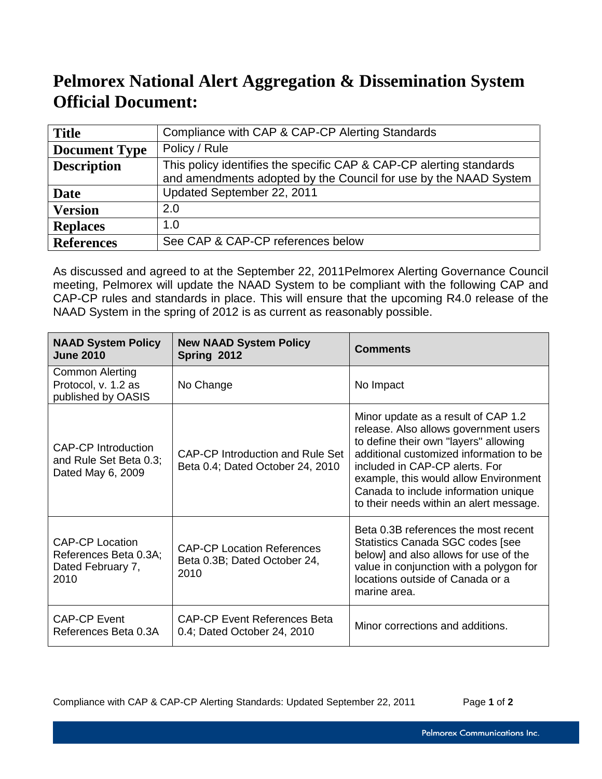## **Pelmorex National Alert Aggregation & Dissemination System Official Document:**

| <b>Title</b>         | Compliance with CAP & CAP-CP Alerting Standards                                                                                         |
|----------------------|-----------------------------------------------------------------------------------------------------------------------------------------|
| <b>Document Type</b> | Policy / Rule                                                                                                                           |
| <b>Description</b>   | This policy identifies the specific CAP & CAP-CP alerting standards<br>and amendments adopted by the Council for use by the NAAD System |
| Date                 | Updated September 22, 2011                                                                                                              |
| <b>Version</b>       | 2.0                                                                                                                                     |
| <b>Replaces</b>      | 1.0                                                                                                                                     |
| <b>References</b>    | See CAP & CAP-CP references below                                                                                                       |

As discussed and agreed to at the September 22, 2011Pelmorex Alerting Governance Council meeting, Pelmorex will update the NAAD System to be compliant with the following CAP and CAP-CP rules and standards in place. This will ensure that the upcoming R4.0 release of the NAAD System in the spring of 2012 is as current as reasonably possible.

| <b>NAAD System Policy</b><br><b>June 2010</b>                                | <b>New NAAD System Policy</b><br>Spring 2012                              | <b>Comments</b>                                                                                                                                                                                                                                                                                                                |
|------------------------------------------------------------------------------|---------------------------------------------------------------------------|--------------------------------------------------------------------------------------------------------------------------------------------------------------------------------------------------------------------------------------------------------------------------------------------------------------------------------|
| <b>Common Alerting</b><br>Protocol, v. 1.2 as<br>published by OASIS          | No Change                                                                 | No Impact                                                                                                                                                                                                                                                                                                                      |
| CAP-CP Introduction<br>and Rule Set Beta 0.3;<br>Dated May 6, 2009           | CAP-CP Introduction and Rule Set<br>Beta 0.4; Dated October 24, 2010      | Minor update as a result of CAP 1.2<br>release. Also allows government users<br>to define their own "layers" allowing<br>additional customized information to be<br>included in CAP-CP alerts. For<br>example, this would allow Environment<br>Canada to include information unique<br>to their needs within an alert message. |
| <b>CAP-CP Location</b><br>References Beta 0.3A;<br>Dated February 7,<br>2010 | <b>CAP-CP Location References</b><br>Beta 0.3B; Dated October 24,<br>2010 | Beta 0.3B references the most recent<br>Statistics Canada SGC codes [see<br>below] and also allows for use of the<br>value in conjunction with a polygon for<br>locations outside of Canada or a<br>marine area.                                                                                                               |
| <b>CAP-CP Event</b><br>References Beta 0.3A                                  | CAP-CP Event References Beta<br>0.4; Dated October 24, 2010               | Minor corrections and additions.                                                                                                                                                                                                                                                                                               |